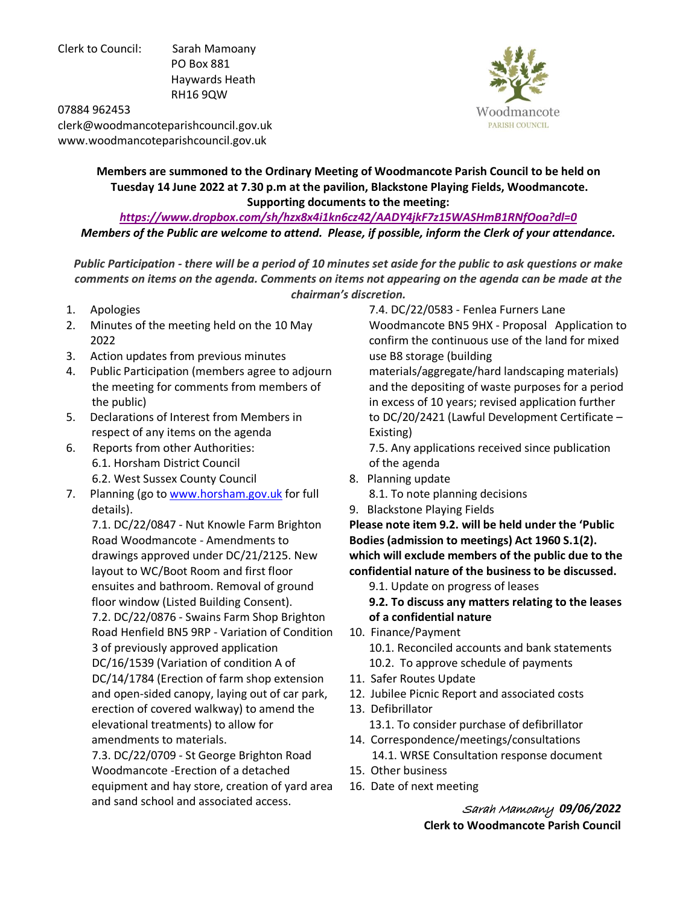Clerk to Council: Sarah Mamoany PO Box 881 Haywards Heath RH16 9QW



07884 962453 clerk@woodmancoteparishcouncil.gov.uk www.woodmancoteparishcouncil.gov.uk

> **Members are summoned to the Ordinary Meeting of Woodmancote Parish Council to be held on Tuesday 14 June 2022 at 7.30 p.m at the pavilion, Blackstone Playing Fields, Woodmancote. Supporting documents to the meeting:**

*<https://www.dropbox.com/sh/hzx8x4i1kn6cz42/AADY4jkF7z15WASHmB1RNfOoa?dl=0> Members of the Public are welcome to attend. Please, if possible, inform the Clerk of your attendance.* 

*Public Participation - there will be a period of 10 minutes set aside for the public to ask questions or make comments on items on the agenda. Comments on items not appearing on the agenda can be made at the chairman's discretion.* 

- 1. Apologies
- 2. Minutes of the meeting held on the 10 May 2022
- 3. Action updates from previous minutes
- 4. Public Participation (members agree to adjourn the meeting for comments from members of the public)
- 5. Declarations of Interest from Members in respect of any items on the agenda
- 6. Reports from other Authorities: 6.1. Horsham District Council 6.2. West Sussex County Council
- 7. Planning (go to [www.horsham.gov.uk](http://www.horsham.gov.uk/) for full details).

 7.1. DC/22/0847 - Nut Knowle Farm Brighton Road Woodmancote - Amendments to drawings approved under DC/21/2125. New layout to WC/Boot Room and first floor ensuites and bathroom. Removal of ground floor window (Listed Building Consent). 7.2. DC/22/0876 - Swains Farm Shop Brighton Road Henfield BN5 9RP - Variation of Condition 3 of previously approved application DC/16/1539 (Variation of condition A of DC/14/1784 (Erection of farm shop extension and open-sided canopy, laying out of car park, erection of covered walkway) to amend the elevational treatments) to allow for amendments to materials.

 7.3. DC/22/0709 - St George Brighton Road Woodmancote -Erection of a detached equipment and hay store, creation of yard area and sand school and associated access.

 7.4. DC/22/0583 - Fenlea Furners Lane Woodmancote BN5 9HX - Proposal Application to confirm the continuous use of the land for mixed use B8 storage (building

 materials/aggregate/hard landscaping materials) and the depositing of waste purposes for a period in excess of 10 years; revised application further to DC/20/2421 (Lawful Development Certificate – Existing)

 7.5. Any applications received since publication of the agenda

- 8. Planning update
	- 8.1. To note planning decisions
- 9. Blackstone Playing Fields

**Please note item 9.2. will be held under the 'Public Bodies (admission to meetings) Act 1960 S.1(2). which will exclude members of the public due to the confidential nature of the business to be discussed.** 

9.1. Update on progress of leases

 **9.2. To discuss any matters relating to the leases of a confidential nature**

- 10. Finance/Payment
	- 10.1. Reconciled accounts and bank statements
	- 10.2. To approve schedule of payments
- 11. Safer Routes Update
- 12. Jubilee Picnic Report and associated costs
- 13. Defibrillator

13.1. To consider purchase of defibrillator

- 14. Correspondence/meetings/consultations 14.1. WRSE Consultation response document 15. Other business
- 16. Date of next meeting

Sarah Mamoany *09/06/2022* **Clerk to Woodmancote Parish Council**